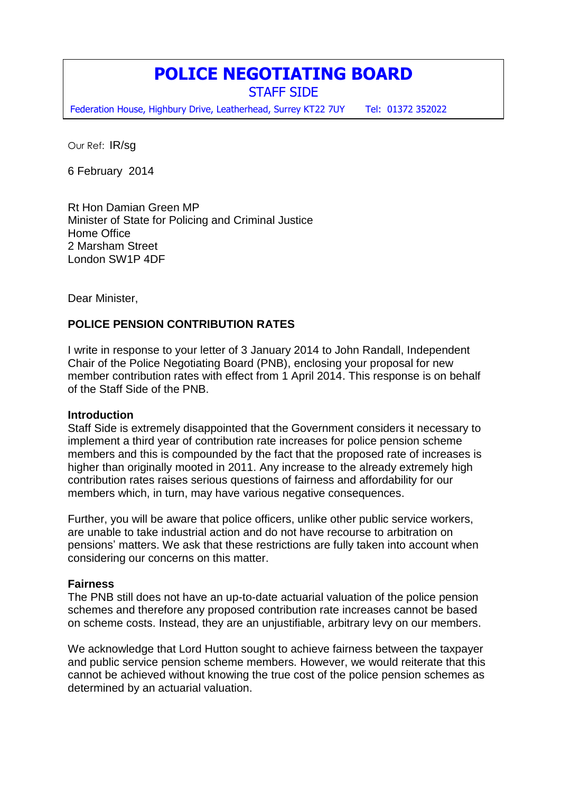# **POLICE NEGOTIATING BOARD**

STAFF SIDE

Federation House, Highbury Drive, Leatherhead, Surrey KT22 7UY Tel: 01372 352022

Our Ref: IR/sg

6 February 2014

Rt Hon Damian Green MP Minister of State for Policing and Criminal Justice Home Office 2 Marsham Street London SW1P 4DF

Dear Minister,

# **POLICE PENSION CONTRIBUTION RATES**

I write in response to your letter of 3 January 2014 to John Randall, Independent Chair of the Police Negotiating Board (PNB), enclosing your proposal for new member contribution rates with effect from 1 April 2014. This response is on behalf of the Staff Side of the PNB.

## **Introduction**

Staff Side is extremely disappointed that the Government considers it necessary to implement a third year of contribution rate increases for police pension scheme members and this is compounded by the fact that the proposed rate of increases is higher than originally mooted in 2011. Any increase to the already extremely high contribution rates raises serious questions of fairness and affordability for our members which, in turn, may have various negative consequences.

Further, you will be aware that police officers, unlike other public service workers, are unable to take industrial action and do not have recourse to arbitration on pensions' matters. We ask that these restrictions are fully taken into account when considering our concerns on this matter.

## **Fairness**

The PNB still does not have an up-to-date actuarial valuation of the police pension schemes and therefore any proposed contribution rate increases cannot be based on scheme costs. Instead, they are an unjustifiable, arbitrary levy on our members.

We acknowledge that Lord Hutton sought to achieve fairness between the taxpayer and public service pension scheme members. However, we would reiterate that this cannot be achieved without knowing the true cost of the police pension schemes as determined by an actuarial valuation.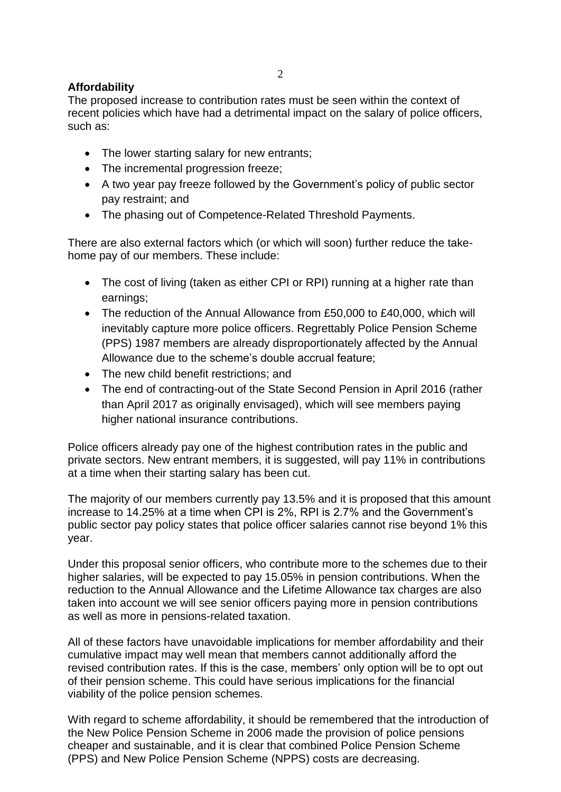# **Affordability**

The proposed increase to contribution rates must be seen within the context of recent policies which have had a detrimental impact on the salary of police officers, such as:

- The lower starting salary for new entrants;
- The incremental progression freeze;
- A two year pay freeze followed by the Government's policy of public sector pay restraint; and
- The phasing out of Competence-Related Threshold Payments.

There are also external factors which (or which will soon) further reduce the takehome pay of our members. These include:

- The cost of living (taken as either CPI or RPI) running at a higher rate than earnings;
- The reduction of the Annual Allowance from £50,000 to £40,000, which will inevitably capture more police officers. Regrettably Police Pension Scheme (PPS) 1987 members are already disproportionately affected by the Annual Allowance due to the scheme's double accrual feature;
- The new child benefit restrictions; and
- The end of contracting-out of the State Second Pension in April 2016 (rather than April 2017 as originally envisaged), which will see members paying higher national insurance contributions.

Police officers already pay one of the highest contribution rates in the public and private sectors. New entrant members, it is suggested, will pay 11% in contributions at a time when their starting salary has been cut.

The majority of our members currently pay 13.5% and it is proposed that this amount increase to 14.25% at a time when CPI is 2%, RPI is 2.7% and the Government's public sector pay policy states that police officer salaries cannot rise beyond 1% this year.

Under this proposal senior officers, who contribute more to the schemes due to their higher salaries, will be expected to pay 15.05% in pension contributions. When the reduction to the Annual Allowance and the Lifetime Allowance tax charges are also taken into account we will see senior officers paying more in pension contributions as well as more in pensions-related taxation.

All of these factors have unavoidable implications for member affordability and their cumulative impact may well mean that members cannot additionally afford the revised contribution rates. If this is the case, members' only option will be to opt out of their pension scheme. This could have serious implications for the financial viability of the police pension schemes.

With regard to scheme affordability, it should be remembered that the introduction of the New Police Pension Scheme in 2006 made the provision of police pensions cheaper and sustainable, and it is clear that combined Police Pension Scheme (PPS) and New Police Pension Scheme (NPPS) costs are decreasing.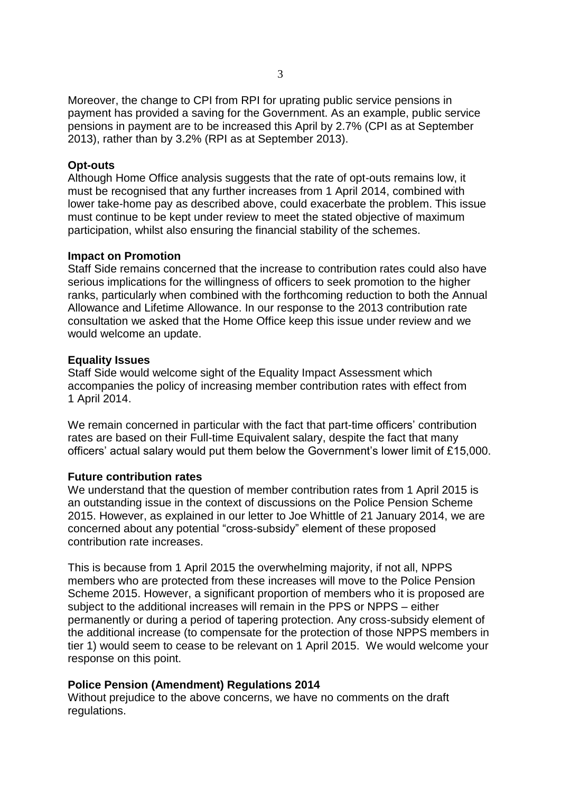Moreover, the change to CPI from RPI for uprating public service pensions in payment has provided a saving for the Government. As an example, public service pensions in payment are to be increased this April by 2.7% (CPI as at September 2013), rather than by 3.2% (RPI as at September 2013).

## **Opt-outs**

Although Home Office analysis suggests that the rate of opt-outs remains low, it must be recognised that any further increases from 1 April 2014, combined with lower take-home pay as described above, could exacerbate the problem. This issue must continue to be kept under review to meet the stated objective of maximum participation, whilst also ensuring the financial stability of the schemes.

#### **Impact on Promotion**

Staff Side remains concerned that the increase to contribution rates could also have serious implications for the willingness of officers to seek promotion to the higher ranks, particularly when combined with the forthcoming reduction to both the Annual Allowance and Lifetime Allowance. In our response to the 2013 contribution rate consultation we asked that the Home Office keep this issue under review and we would welcome an update.

#### **Equality Issues**

Staff Side would welcome sight of the Equality Impact Assessment which accompanies the policy of increasing member contribution rates with effect from 1 April 2014.

We remain concerned in particular with the fact that part-time officers' contribution rates are based on their Full-time Equivalent salary, despite the fact that many officers' actual salary would put them below the Government's lower limit of £15,000.

#### **Future contribution rates**

We understand that the question of member contribution rates from 1 April 2015 is an outstanding issue in the context of discussions on the Police Pension Scheme 2015. However, as explained in our letter to Joe Whittle of 21 January 2014, we are concerned about any potential "cross-subsidy" element of these proposed contribution rate increases.

This is because from 1 April 2015 the overwhelming majority, if not all, NPPS members who are protected from these increases will move to the Police Pension Scheme 2015. However, a significant proportion of members who it is proposed are subject to the additional increases will remain in the PPS or NPPS – either permanently or during a period of tapering protection. Any cross-subsidy element of the additional increase (to compensate for the protection of those NPPS members in tier 1) would seem to cease to be relevant on 1 April 2015. We would welcome your response on this point.

## **Police Pension (Amendment) Regulations 2014**

Without prejudice to the above concerns, we have no comments on the draft regulations.